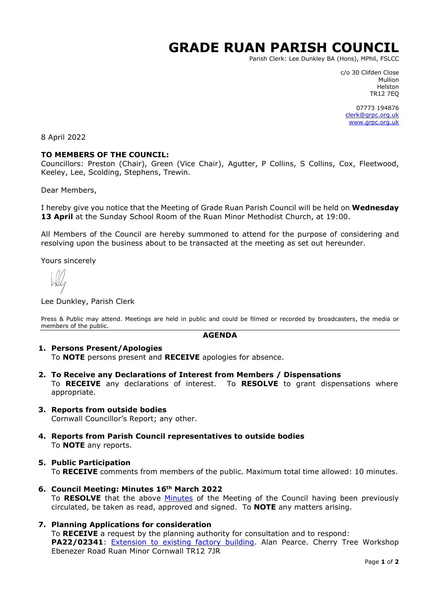# **GRADE RUAN PARISH COUNCIL**

Parish Clerk: Lee Dunkley BA (Hons), MPhil, FSLCC

c/o 30 Clifden Close Mullion Helston TR12 7EQ

07773 194876 [clerk@grpc.org.uk](mailto:clerk@grpc.org.uk) [www.grpc.org.uk](http://www.grpc.org.uk/)

8 April 2022

#### **TO MEMBERS OF THE COUNCIL:**

Councillors: Preston (Chair), Green (Vice Chair), Agutter, P Collins, S Collins, Cox, Fleetwood, Keeley, Lee, Scolding, Stephens, Trewin.

Dear Members,

I hereby give you notice that the Meeting of Grade Ruan Parish Council will be held on **Wednesday 13 April** at the Sunday School Room of the Ruan Minor Methodist Church, at 19:00.

All Members of the Council are hereby summoned to attend for the purpose of considering and resolving upon the business about to be transacted at the meeting as set out hereunder.

Yours sincerely

Lee Dunkley, Parish Clerk

Press & Public may attend. Meetings are held in public and could be filmed or recorded by broadcasters, the media or members of the public.

#### **AGENDA**

#### **1. Persons Present/Apologies**

To **NOTE** persons present and **RECEIVE** apologies for absence.

- **2. To Receive any Declarations of Interest from Members / Dispensations** To **RECEIVE** any declarations of interest. To **RESOLVE** to grant dispensations where appropriate.
- **3. Reports from outside bodies** Cornwall Councillor's Report; any other.
- **4. Reports from Parish Council representatives to outside bodies** To **NOTE** any reports.
- **5. Public Participation**

To **RECEIVE** comments from members of the public. Maximum total time allowed: 10 minutes.

- **6. Council Meeting: Minutes 16th March 2022** To RESOLVE that the above [Minutes](https://www.grpc.org.uk/files/4316/4751/3900/Minutes_16_March_2022_DRAFT.pdf) of the Meeting of the Council having been previously circulated, be taken as read, approved and signed. To **NOTE** any matters arising.
- **7. Planning Applications for consideration** To **RECEIVE** a request by the planning authority for consultation and to respond: **PA22/02341**: [Extension to existing factory building.](https://planning.cornwall.gov.uk/online-applications/applicationDetails.do?activeTab=documents&keyVal=R8DVD7FGMP600&prevPage=inTray) Alan Pearce. Cherry Tree Workshop Ebenezer Road Ruan Minor Cornwall TR12 7JR